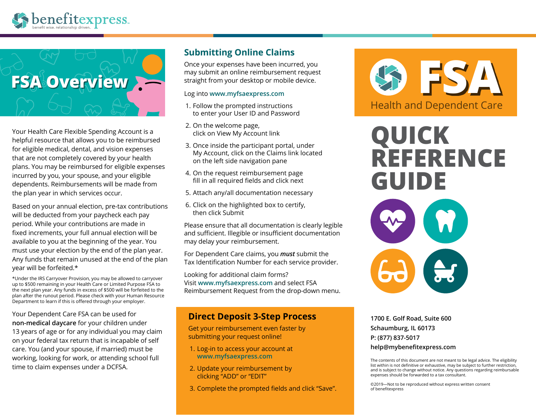



Your Health Care Flexible Spending Account is a helpful resource that allows you to be reimbursed for eligible medical, dental, and vision expenses that are not completely covered by your health plans. You may be reimbursed for eligible expenses incurred by you, your spouse, and your eligible dependents. Reimbursements will be made from the plan year in which services occur.

Based on your annual election, pre-tax contributions will be deducted from your paycheck each pay period. While your contributions are made in fixed increments, your full annual election will be available to you at the beginning of the year. You must use your election by the end of the plan year. Any funds that remain unused at the end of the plan year will be forfeited.\*

\*Under the IRS Carryover Provision, you may be allowed to carryover up to \$500 remaining in your Health Care or Limited Purpose FSA to the next plan year. Any funds in excess of \$500 will be forfeited to the plan after the runout period. Please check with your Human Resource Department to learn if this is offered through your employer.

Your Dependent Care FSA can be used for **non-medical daycare** for your children under 13 years of age or for any individual you may claim on your federal tax return that is incapable of self care. You (and your spouse, if married) must be working, looking for work, or attending school full time to claim expenses under a DCFSA.

## **Submitting Online Claims**

Once your expenses have been incurred, you may submit an online reimbursement request straight from your desktop or mobile device.

### Log into **www.myfsaexpress.com**

- 1. Follow the prompted instructions to enter your User ID and Password
- 2. On the welcome page, click on View My Account link
- 3. Once inside the participant portal, under My Account, click on the Claims link located on the left side navigation pane
- 4. On the request reimbursement page fill in all required fields and click next
- 5. Attach any/all documentation necessary
- 6. Click on the highlighted box to certify, then click Submit

Please ensure that all documentation is clearly legible and sufficient. Illegible or insufficient documentation may delay your reimbursement.

For Dependent Care claims, you *must* submit the Tax Identification Number for each service provider.

Looking for additional claim forms? Visit **www.myfsaexpress.com** and select FSA Reimbursement Request from the drop-down menu.

## **Direct Deposit 3-Step Process**

Get your reimbursement even faster by submitting your request online!

- 1. Log-in to access your account at **www.myfsaexpress.com**
- 2. Update your reimbursement by clicking "ADD" or "EDIT"
- 3. Complete the prompted fields and click "Save".



# **QUICK REFERENCE GUIDE**



**1700 E. Golf Road, Suite 600 Schaumburg, IL 60173 P: (877) 837-5017 help@mybenefitexpress.com**

The contents of this document are not meant to be legal advice. The eligibility list within is not definitive or exhaustive, may be subject to further restriction, and is subject to change without notice. Any questions regarding reimbursable expenses should be forwarded to a tax consultant.

©2019—Not to be reproduced without express written consent of benefitexpress